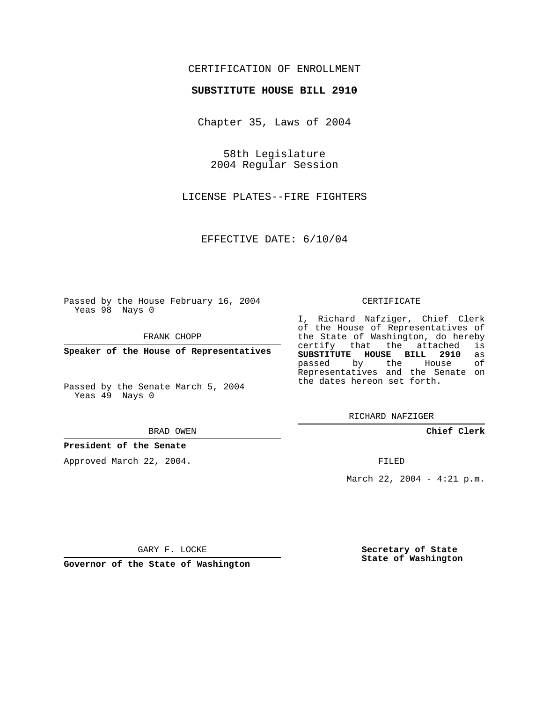### CERTIFICATION OF ENROLLMENT

#### **SUBSTITUTE HOUSE BILL 2910**

Chapter 35, Laws of 2004

58th Legislature 2004 Regular Session

LICENSE PLATES--FIRE FIGHTERS

EFFECTIVE DATE: 6/10/04

Passed by the House February 16, 2004 Yeas 98 Nays 0

FRANK CHOPP

**Speaker of the House of Representatives**

Passed by the Senate March 5, 2004 Yeas 49 Nays 0

#### BRAD OWEN

### **President of the Senate**

Approved March 22, 2004.

#### CERTIFICATE

I, Richard Nafziger, Chief Clerk of the House of Representatives of the State of Washington, do hereby<br>certify that the attached is certify that the attached **SUBSTITUTE HOUSE BILL 2910** as passed by the House Representatives and the Senate on the dates hereon set forth.

RICHARD NAFZIGER

**Chief Clerk**

FILED

March 22, 2004 - 4:21 p.m.

GARY F. LOCKE

**Governor of the State of Washington**

**Secretary of State State of Washington**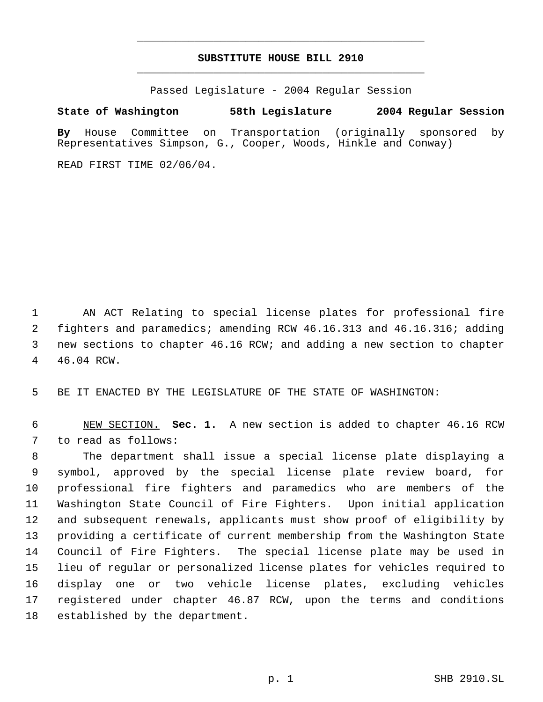# **SUBSTITUTE HOUSE BILL 2910** \_\_\_\_\_\_\_\_\_\_\_\_\_\_\_\_\_\_\_\_\_\_\_\_\_\_\_\_\_\_\_\_\_\_\_\_\_\_\_\_\_\_\_\_\_

\_\_\_\_\_\_\_\_\_\_\_\_\_\_\_\_\_\_\_\_\_\_\_\_\_\_\_\_\_\_\_\_\_\_\_\_\_\_\_\_\_\_\_\_\_

Passed Legislature - 2004 Regular Session

## **State of Washington 58th Legislature 2004 Regular Session**

**By** House Committee on Transportation (originally sponsored by Representatives Simpson, G., Cooper, Woods, Hinkle and Conway)

READ FIRST TIME 02/06/04.

 AN ACT Relating to special license plates for professional fire fighters and paramedics; amending RCW 46.16.313 and 46.16.316; adding new sections to chapter 46.16 RCW; and adding a new section to chapter 46.04 RCW.

BE IT ENACTED BY THE LEGISLATURE OF THE STATE OF WASHINGTON:

 NEW SECTION. **Sec. 1.** A new section is added to chapter 46.16 RCW to read as follows:

 The department shall issue a special license plate displaying a symbol, approved by the special license plate review board, for professional fire fighters and paramedics who are members of the Washington State Council of Fire Fighters. Upon initial application and subsequent renewals, applicants must show proof of eligibility by providing a certificate of current membership from the Washington State Council of Fire Fighters. The special license plate may be used in lieu of regular or personalized license plates for vehicles required to display one or two vehicle license plates, excluding vehicles registered under chapter 46.87 RCW, upon the terms and conditions established by the department.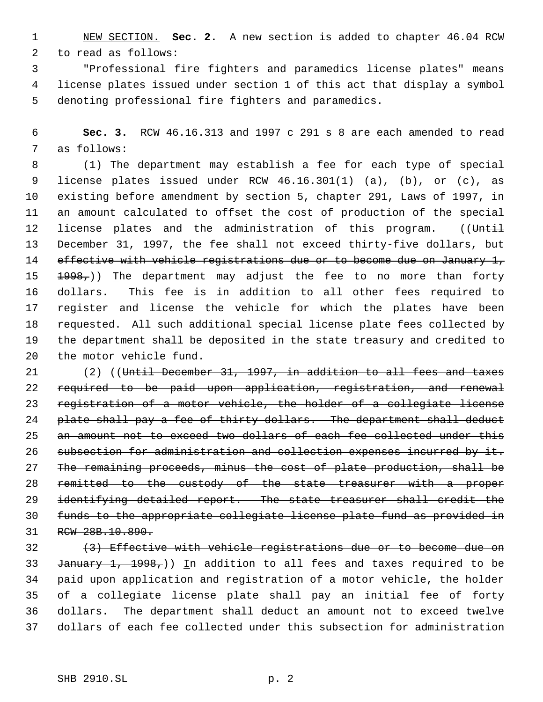NEW SECTION. **Sec. 2.** A new section is added to chapter 46.04 RCW to read as follows:

 "Professional fire fighters and paramedics license plates" means license plates issued under section 1 of this act that display a symbol denoting professional fire fighters and paramedics.

 **Sec. 3.** RCW 46.16.313 and 1997 c 291 s 8 are each amended to read as follows:

 (1) The department may establish a fee for each type of special license plates issued under RCW 46.16.301(1) (a), (b), or (c), as existing before amendment by section 5, chapter 291, Laws of 1997, in an amount calculated to offset the cost of production of the special 12 license plates and the administration of this program. ((Until December 31, 1997, the fee shall not exceed thirty-five dollars, but 14 effective with vehicle registrations due or to become due on January 1,  $\pm 998<sub>r</sub>$ )) The department may adjust the fee to no more than forty dollars. This fee is in addition to all other fees required to register and license the vehicle for which the plates have been requested. All such additional special license plate fees collected by the department shall be deposited in the state treasury and credited to the motor vehicle fund.

 (2) ((Until December 31, 1997, in addition to all fees and taxes required to be paid upon application, registration, and renewal registration of a motor vehicle, the holder of a collegiate license 24 plate shall pay a fee of thirty dollars. The department shall deduct an amount not to exceed two dollars of each fee collected under this 26 subsection for administration and collection expenses incurred by it. The remaining proceeds, minus the cost of plate production, shall be remitted to the custody of the state treasurer with a proper 29 identifying detailed report. The state treasurer shall credit the funds to the appropriate collegiate license plate fund as provided in RCW 28B.10.890.

 (3) Effective with vehicle registrations due or to become due on 33 January 1, 1998,)) In addition to all fees and taxes required to be paid upon application and registration of a motor vehicle, the holder of a collegiate license plate shall pay an initial fee of forty dollars. The department shall deduct an amount not to exceed twelve dollars of each fee collected under this subsection for administration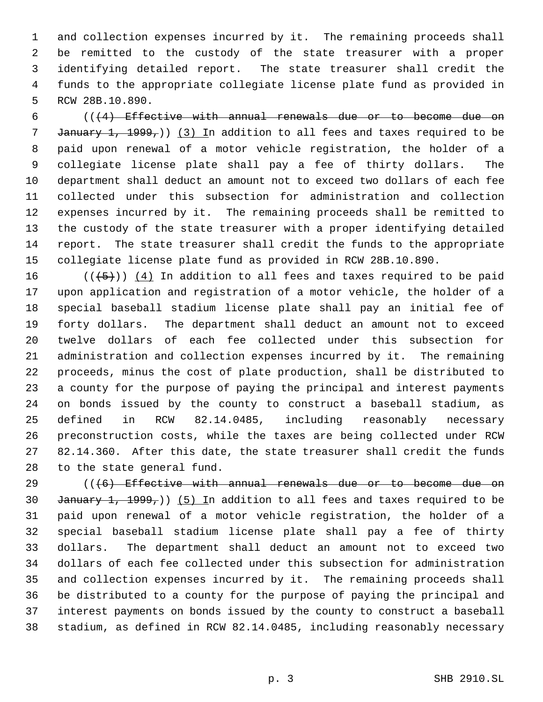and collection expenses incurred by it. The remaining proceeds shall be remitted to the custody of the state treasurer with a proper identifying detailed report. The state treasurer shall credit the funds to the appropriate collegiate license plate fund as provided in RCW 28B.10.890.

 $((4)$  Effective with annual renewals due or to become due on 7 January 1, 1999,)) (3) In addition to all fees and taxes required to be paid upon renewal of a motor vehicle registration, the holder of a collegiate license plate shall pay a fee of thirty dollars. The department shall deduct an amount not to exceed two dollars of each fee collected under this subsection for administration and collection expenses incurred by it. The remaining proceeds shall be remitted to the custody of the state treasurer with a proper identifying detailed report. The state treasurer shall credit the funds to the appropriate collegiate license plate fund as provided in RCW 28B.10.890.

16 ( $(\overline{5})$ ) (4) In addition to all fees and taxes required to be paid upon application and registration of a motor vehicle, the holder of a special baseball stadium license plate shall pay an initial fee of forty dollars. The department shall deduct an amount not to exceed twelve dollars of each fee collected under this subsection for administration and collection expenses incurred by it. The remaining proceeds, minus the cost of plate production, shall be distributed to a county for the purpose of paying the principal and interest payments on bonds issued by the county to construct a baseball stadium, as defined in RCW 82.14.0485, including reasonably necessary preconstruction costs, while the taxes are being collected under RCW 82.14.360. After this date, the state treasurer shall credit the funds to the state general fund.

 (((6) Effective with annual renewals due or to become due on 30 January 1, 1999,)) (5) In addition to all fees and taxes required to be paid upon renewal of a motor vehicle registration, the holder of a special baseball stadium license plate shall pay a fee of thirty dollars. The department shall deduct an amount not to exceed two dollars of each fee collected under this subsection for administration and collection expenses incurred by it. The remaining proceeds shall be distributed to a county for the purpose of paying the principal and interest payments on bonds issued by the county to construct a baseball stadium, as defined in RCW 82.14.0485, including reasonably necessary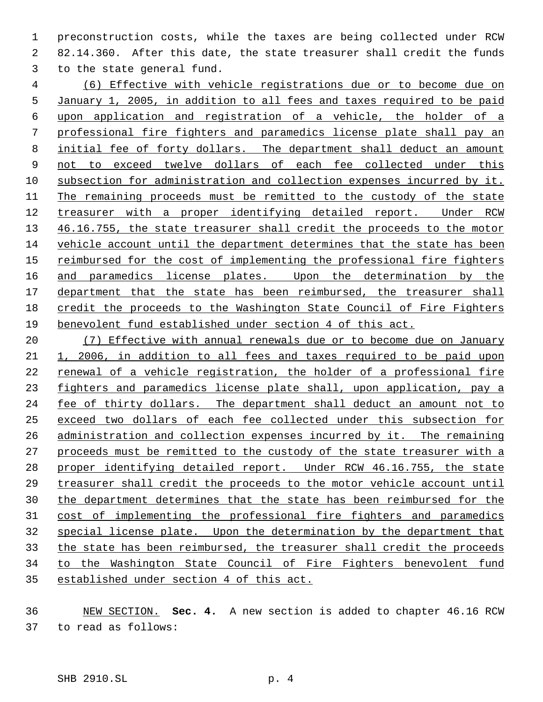preconstruction costs, while the taxes are being collected under RCW 82.14.360. After this date, the state treasurer shall credit the funds to the state general fund.

 (6) Effective with vehicle registrations due or to become due on January 1, 2005, in addition to all fees and taxes required to be paid upon application and registration of a vehicle, the holder of a professional fire fighters and paramedics license plate shall pay an initial fee of forty dollars. The department shall deduct an amount 9 not to exceed twelve dollars of each fee collected under this subsection for administration and collection expenses incurred by it. The remaining proceeds must be remitted to the custody of the state 12 treasurer with a proper identifying detailed report. Under RCW 13 46.16.755, the state treasurer shall credit the proceeds to the motor vehicle account until the department determines that the state has been 15 reimbursed for the cost of implementing the professional fire fighters 16 and paramedics license plates. Upon the determination by the 17 department that the state has been reimbursed, the treasurer shall credit the proceeds to the Washington State Council of Fire Fighters benevolent fund established under section 4 of this act.

 (7) Effective with annual renewals due or to become due on January 1, 2006, in addition to all fees and taxes required to be paid upon renewal of a vehicle registration, the holder of a professional fire fighters and paramedics license plate shall, upon application, pay a fee of thirty dollars. The department shall deduct an amount not to exceed two dollars of each fee collected under this subsection for administration and collection expenses incurred by it. The remaining 27 proceeds must be remitted to the custody of the state treasurer with a proper identifying detailed report. Under RCW 46.16.755, the state treasurer shall credit the proceeds to the motor vehicle account until the department determines that the state has been reimbursed for the cost of implementing the professional fire fighters and paramedics special license plate. Upon the determination by the department that the state has been reimbursed, the treasurer shall credit the proceeds to the Washington State Council of Fire Fighters benevolent fund established under section 4 of this act.

 NEW SECTION. **Sec. 4.** A new section is added to chapter 46.16 RCW to read as follows: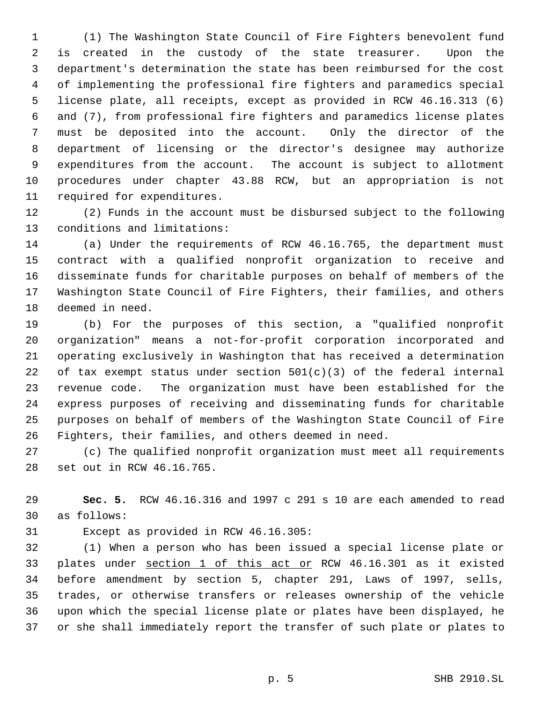(1) The Washington State Council of Fire Fighters benevolent fund is created in the custody of the state treasurer. Upon the department's determination the state has been reimbursed for the cost of implementing the professional fire fighters and paramedics special license plate, all receipts, except as provided in RCW 46.16.313 (6) and (7), from professional fire fighters and paramedics license plates must be deposited into the account. Only the director of the department of licensing or the director's designee may authorize expenditures from the account. The account is subject to allotment procedures under chapter 43.88 RCW, but an appropriation is not required for expenditures.

 (2) Funds in the account must be disbursed subject to the following conditions and limitations:

 (a) Under the requirements of RCW 46.16.765, the department must contract with a qualified nonprofit organization to receive and disseminate funds for charitable purposes on behalf of members of the Washington State Council of Fire Fighters, their families, and others deemed in need.

 (b) For the purposes of this section, a "qualified nonprofit organization" means a not-for-profit corporation incorporated and operating exclusively in Washington that has received a determination 22 of tax exempt status under section  $501(c)(3)$  of the federal internal revenue code. The organization must have been established for the express purposes of receiving and disseminating funds for charitable purposes on behalf of members of the Washington State Council of Fire Fighters, their families, and others deemed in need.

 (c) The qualified nonprofit organization must meet all requirements set out in RCW 46.16.765.

 **Sec. 5.** RCW 46.16.316 and 1997 c 291 s 10 are each amended to read as follows:

Except as provided in RCW 46.16.305:

 (1) When a person who has been issued a special license plate or plates under section 1 of this act or RCW 46.16.301 as it existed before amendment by section 5, chapter 291, Laws of 1997, sells, trades, or otherwise transfers or releases ownership of the vehicle upon which the special license plate or plates have been displayed, he or she shall immediately report the transfer of such plate or plates to